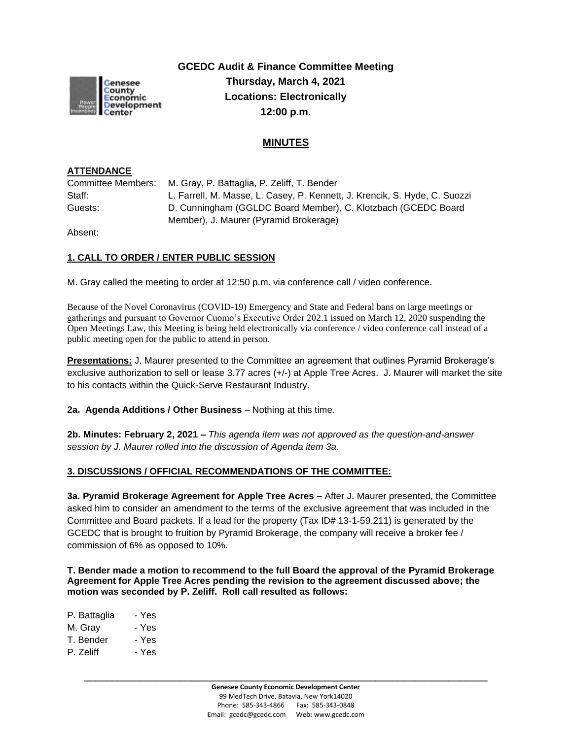

**GCEDC Audit & Finance Committee Meeting Thursday, March 4, 2021 Locations: Electronically 12:00 p.m.**

# **MINUTES**

### **ATTENDANCE**

Committee Members: M. Gray, P. Battaglia, P. Zeliff, T. Bender Staff: L. Farrell, M. Masse, L. Casey, P. Kennett, J. Krencik, S. Hyde, C. Suozzi Guests: D. Cunningham (GGLDC Board Member), C. Klotzbach (GCEDC Board Member), J. Maurer (Pyramid Brokerage)

Absent:

# **1. CALL TO ORDER / ENTER PUBLIC SESSION**

M. Gray called the meeting to order at 12:50 p.m. via conference call / video conference.

Because of the Novel Coronavirus (COVID-19) Emergency and State and Federal bans on large meetings or gatherings and pursuant to Governor Cuomo's Executive Order 202.1 issued on March 12, 2020 suspending the Open Meetings Law, this Meeting is being held electronically via conference / video conference call instead of a public meeting open for the public to attend in person.

**Presentations:** J. Maurer presented to the Committee an agreement that outlines Pyramid Brokerage's exclusive authorization to sell or lease 3.77 acres (+/-) at Apple Tree Acres. J. Maurer will market the site to his contacts within the Quick-Serve Restaurant Industry.

**2a. Agenda Additions / Other Business** – Nothing at this time.

**2b. Minutes: February 2, 2021 –** *This agenda item was not approved as the question-and-answer session by J. Maurer rolled into the discussion of Agenda item 3a.*

### **3. DISCUSSIONS / OFFICIAL RECOMMENDATIONS OF THE COMMITTEE:**

**3a. Pyramid Brokerage Agreement for Apple Tree Acres –** After J. Maurer presented, the Committee asked him to consider an amendment to the terms of the exclusive agreement that was included in the Committee and Board packets. If a lead for the property (Tax ID# 13-1-59.211) is generated by the GCEDC that is brought to fruition by Pyramid Brokerage, the company will receive a broker fee / commission of 6% as opposed to 10%.

**T. Bender made a motion to recommend to the full Board the approval of the Pyramid Brokerage Agreement for Apple Tree Acres pending the revision to the agreement discussed above; the motion was seconded by P. Zeliff. Roll call resulted as follows:**

| P. Battaglia | - Yes |
|--------------|-------|
| M. Gray      | - Yes |
| T. Bender    | - Yes |
| P. Zeliff    | - Yes |

**\_\_\_\_\_\_\_\_\_\_\_\_\_\_\_\_\_\_\_\_\_\_\_\_\_\_\_\_\_\_\_\_\_\_\_\_\_\_\_\_\_\_\_\_\_\_\_\_\_\_\_\_\_\_\_\_\_\_\_\_\_\_\_\_\_\_\_\_\_\_\_\_**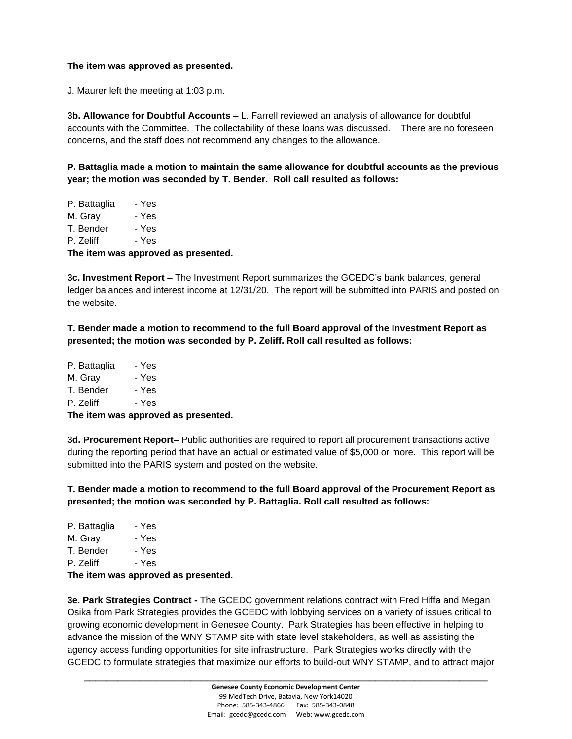#### **The item was approved as presented.**

J. Maurer left the meeting at 1:03 p.m.

**3b. Allowance for Doubtful Accounts –** L. Farrell reviewed an analysis of allowance for doubtful accounts with the Committee. The collectability of these loans was discussed. There are no foreseen concerns, and the staff does not recommend any changes to the allowance.

**P. Battaglia made a motion to maintain the same allowance for doubtful accounts as the previous year; the motion was seconded by T. Bender. Roll call resulted as follows:**

| The item was approved as presented. |       |  |
|-------------------------------------|-------|--|
| P. Zeliff                           | - Yes |  |
| T. Bender                           | - Yes |  |
| M. Grav                             | - Yes |  |
| P. Battaglia                        | - Yes |  |

**3c. Investment Report –** The Investment Report summarizes the GCEDC's bank balances, general

ledger balances and interest income at 12/31/20. The report will be submitted into PARIS and posted on the website.

**T. Bender made a motion to recommend to the full Board approval of the Investment Report as presented; the motion was seconded by P. Zeliff. Roll call resulted as follows:**

| The item was approved as presented. |       |  |
|-------------------------------------|-------|--|
| P. Zeliff                           | - Yes |  |
| T. Bender                           | - Yes |  |
| M. Gray                             | - Yes |  |
| P. Battaglia                        | - Yes |  |

**3d. Procurement Report–** Public authorities are required to report all procurement transactions active during the reporting period that have an actual or estimated value of \$5,000 or more. This report will be submitted into the PARIS system and posted on the website.

**T. Bender made a motion to recommend to the full Board approval of the Procurement Report as presented; the motion was seconded by P. Battaglia. Roll call resulted as follows:**

| The item were approved |       |
|------------------------|-------|
| P. Zeliff              | - Yes |
| T. Bender              | - Yes |
| M. Gray                | - Yes |
| P. Battaglia           | - Yes |

**The item was approved as presented.**

**3e. Park Strategies Contract -** The GCEDC government relations contract with Fred Hiffa and Megan Osika from Park Strategies provides the GCEDC with lobbying services on a variety of issues critical to growing economic development in Genesee County. Park Strategies has been effective in helping to advance the mission of the WNY STAMP site with state level stakeholders, as well as assisting the agency access funding opportunities for site infrastructure. Park Strategies works directly with the GCEDC to formulate strategies that maximize our efforts to build-out WNY STAMP, and to attract major

**\_\_\_\_\_\_\_\_\_\_\_\_\_\_\_\_\_\_\_\_\_\_\_\_\_\_\_\_\_\_\_\_\_\_\_\_\_\_\_\_\_\_\_\_\_\_\_\_\_\_\_\_\_\_\_\_\_\_\_\_\_\_\_\_\_\_\_\_\_\_\_\_**